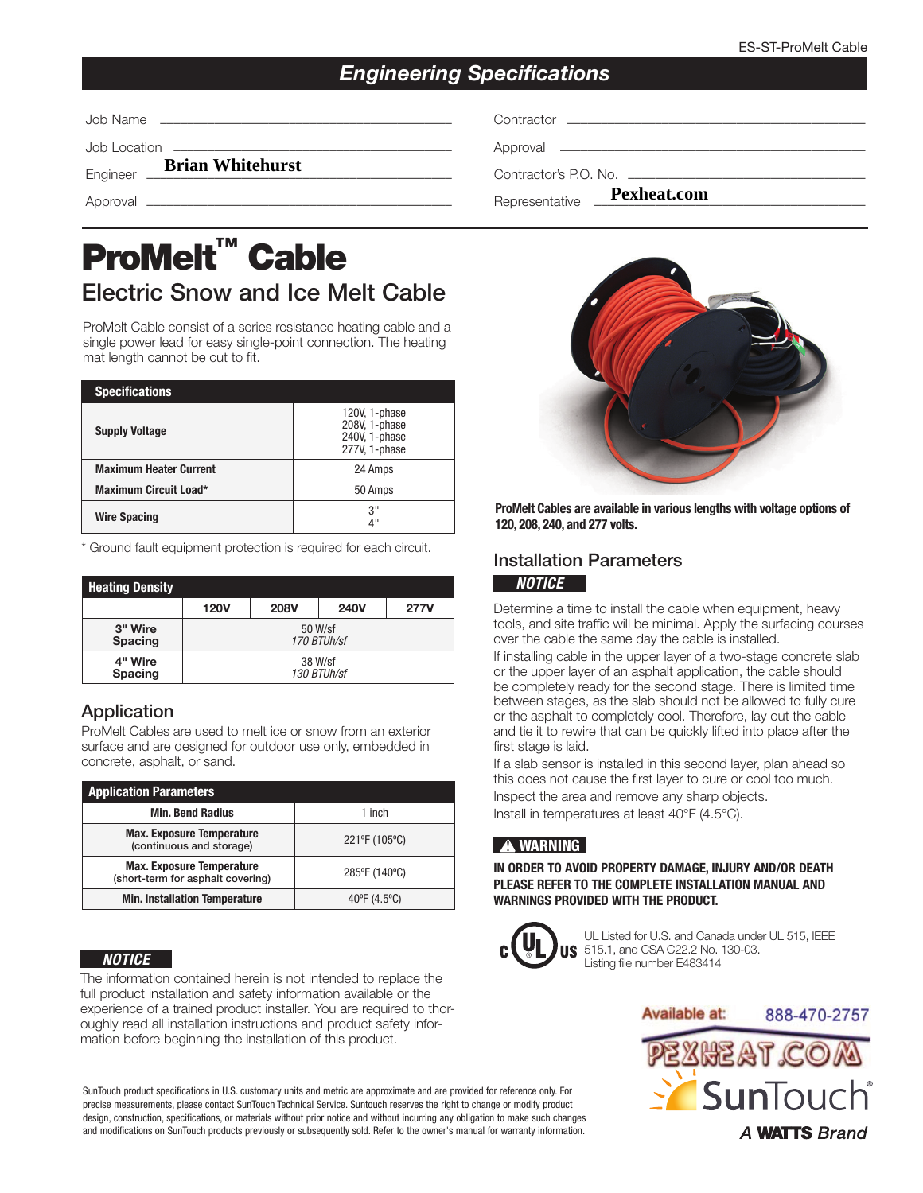# *Engineering Specifications*

|                                  | Contractor experience and contractor  |
|----------------------------------|---------------------------------------|
|                                  |                                       |
| Engineer <b>Brian Whitehurst</b> | Contractor's P.O. No. $\qquad \qquad$ |
|                                  | Representative <b>Pexheat.com</b>     |

# ProMelt<sup>™</sup> Cable Electric Snow and Ice Melt Cable

ProMelt Cable consist of a series resistance heating cable and a single power lead for easy single-point connection. The heating mat length cannot be cut to fit.

| <b>Specifications</b>         |                                                                  |
|-------------------------------|------------------------------------------------------------------|
| <b>Supply Voltage</b>         | 120V, 1-phase<br>208V, 1-phase<br>240V, 1-phase<br>277V, 1-phase |
| <b>Maximum Heater Current</b> | 24 Amps                                                          |
| <b>Maximum Circuit Load*</b>  | 50 Amps                                                          |
| <b>Wire Spacing</b>           | 3"<br>4"                                                         |

\* Ground fault equipment protection is required for each circuit.

| <b>Heating Density</b> |             |             |             |      |  |
|------------------------|-------------|-------------|-------------|------|--|
|                        | <b>120V</b> | <b>208V</b> | <b>240V</b> | 277V |  |
| 3" Wire                | 50 W/sf     |             |             |      |  |
| <b>Spacing</b>         | 170 BTUh/sf |             |             |      |  |
| 4" Wire                | 38 W/sf     |             |             |      |  |
| <b>Spacing</b>         | 130 BTUh/sf |             |             |      |  |

# Application

ProMelt Cables are used to melt ice or snow from an exterior surface and are designed for outdoor use only, embedded in concrete, asphalt, or sand.

| <b>Application Parameters</b>                                         |                        |  |  |  |  |  |
|-----------------------------------------------------------------------|------------------------|--|--|--|--|--|
| <b>Min. Bend Radius</b>                                               | 1 inch                 |  |  |  |  |  |
| <b>Max. Exposure Temperature</b><br>(continuous and storage)          | 221°F (105°C)          |  |  |  |  |  |
| <b>Max. Exposure Temperature</b><br>(short-term for asphalt covering) | 285°F (140°C)          |  |  |  |  |  |
| <b>Min. Installation Temperature</b>                                  | $40^{\circ}$ F (4.5°C) |  |  |  |  |  |

## *NOTICE*

The information contained herein is not intended to replace the full product installation and safety information available or the experience of a trained product installer. You are required to thoroughly read all installation instructions and product safety information before beginning the installation of this product.

SunTouch product specifications in U.S. customary units and metric are approximate and are provided for reference only. For precise measurements, please contact SunTouch Technical Service. Suntouch reserves the right to change or modify product design, construction, specifications, or materials without prior notice and without incurring any obligation to make such changes and modifications on SunTouch products previously or subsequently sold. Refer to the owner's manual for warranty information.



ProMelt Cables are available in various lengths with voltage options of 120, 208, 240, and 277 volts.

# Installation Parameters *NOTICE*

Determine a time to install the cable when equipment, heavy tools, and site traffic will be minimal. Apply the surfacing courses over the cable the same day the cable is installed.

If installing cable in the upper layer of a two-stage concrete slab or the upper layer of an asphalt application, the cable should be completely ready for the second stage. There is limited time between stages, as the slab should not be allowed to fully cure or the asphalt to completely cool. Therefore, lay out the cable and tie it to rewire that can be quickly lifted into place after the first stage is laid.

If a slab sensor is installed in this second layer, plan ahead so this does not cause the first layer to cure or cool too much. Inspect the area and remove any sharp objects. Install in temperatures at least 40°F (4.5°C).

# **!** WARNING

IN ORDER TO AVOID PROPERTY DAMAGE, INJURY AND/OR DEATH PLEASE REFER TO THE COMPLETE INSTALLATION MANUAL AND WARNINGS PROVIDED WITH THE PRODUCT.



UL Listed for U.S. and Canada under UL 515, IEEE 515.1, and CSA C22.2 No. 130-03. JS Listing file number E483414